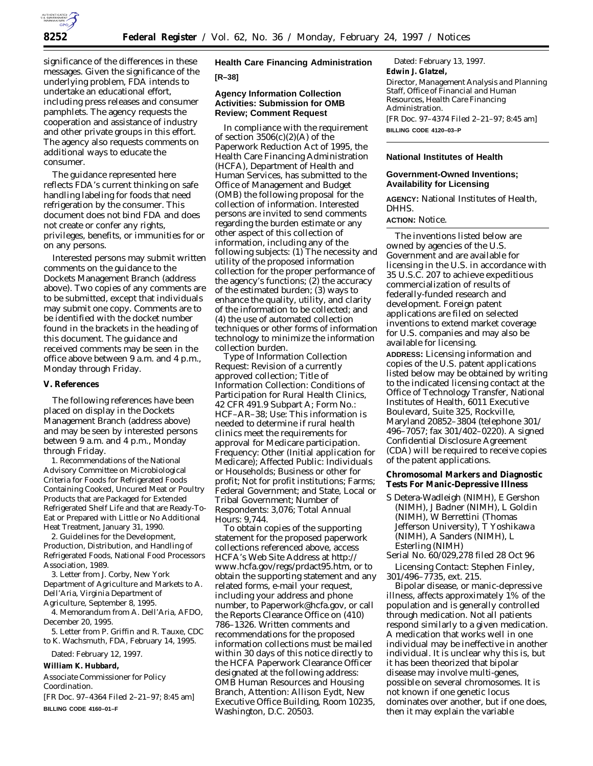

significance of the differences in these messages. Given the significance of the underlying problem, FDA intends to undertake an educational effort, including press releases and consumer pamphlets. The agency requests the cooperation and assistance of industry and other private groups in this effort. The agency also requests comments on additional ways to educate the consumer.

The guidance represented here reflects FDA's current thinking on safe handling labeling for foods that need refrigeration by the consumer. This document does not bind FDA and does not create or confer any rights, privileges, benefits, or immunities for or on any persons.

Interested persons may submit written comments on the guidance to the Dockets Management Branch (address above). Two copies of any comments are to be submitted, except that individuals may submit one copy. Comments are to be identified with the docket number found in the brackets in the heading of this document. The guidance and received comments may be seen in the office above between 9 a.m. and 4 p.m., Monday through Friday.

#### **V. References**

The following references have been placed on display in the Dockets Management Branch (address above) and may be seen by interested persons between 9 a.m. and 4 p.m., Monday through Friday.

1. Recommendations of the National Advisory Committee on Microbiological Criteria for Foods for Refrigerated Foods Containing Cooked, Uncured Meat or Poultry Products that are Packaged for Extended Refrigerated Shelf Life and that are Ready-To-Eat or Prepared with Little or No Additional Heat Treatment, January 31, 1990.

2. Guidelines for the Development, Production, Distribution, and Handling of Refrigerated Foods, National Food Processors Association, 1989.

3. Letter from J. Corby, New York Department of Agriculture and Markets to A. Dell'Aria, Virginia Department of Agriculture, September 8, 1995.

4. Memorandum from A. Dell'Aria, AFDO, December 20, 1995.

5. Letter from P. Griffin and R. Tauxe, CDC to K. Wachsmuth, FDA, February 14, 1995.

Dated: February 12, 1997.

**William K. Hubbard,**

*Associate Commissioner for Policy Coordination.*

[FR Doc. 97–4364 Filed 2–21–97; 8:45 am] **BILLING CODE 4160–01–F**

**Health Care Financing Administration [R–38]**

### **Agency Information Collection Activities: Submission for OMB Review; Comment Request**

In compliance with the requirement of section  $3506(c)(2)(A)$  of the Paperwork Reduction Act of 1995, the Health Care Financing Administration (HCFA), Department of Health and Human Services, has submitted to the Office of Management and Budget (OMB) the following proposal for the collection of information. Interested persons are invited to send comments regarding the burden estimate or any other aspect of this collection of information, including any of the following subjects: (1) The necessity and utility of the proposed information collection for the proper performance of the agency's functions;  $(2)$  the accuracy of the estimated burden; (3) ways to enhance the quality, utility, and clarity of the information to be collected; and (4) the use of automated collection techniques or other forms of information technology to minimize the information collection burden.

*Type of Information Collection Request:* Revision of a currently approved collection; *Title of Information Collection:* Conditions of Participation for Rural Health Clinics, 42 CFR 491.9 Subpart A; *Form No.:* HCF–AR–38; *Use:* This information is needed to determine if rural health clinics meet the requirements for approval for Medicare participation. *Frequency:* Other (Initial application for Medicare); *Affected Public:* Individuals or Households; Business or other for profit; Not for profit institutions; Farms; Federal Government; and State, Local or Tribal Government; *Number of Respondents:* 3,076; *Total Annual Hours:* 9,744.

To obtain copies of the supporting statement for the proposed paperwork collections referenced above, access HCFA's Web Site Address at http:// www.hcfa.gov/regs/prdact95.htm, or to obtain the supporting statement and any related forms, e-mail your request, including your address and phone number, to Paperwork@hcfa.gov, or call the Reports Clearance Office on (410) 786–1326. Written comments and recommendations for the proposed information collections must be mailed within 30 days of this notice directly to the HCFA Paperwork Clearance Officer designated at the following address: OMB Human Resources and Housing Branch, Attention: Allison Eydt, New Executive Office Building, Room 10235, Washington, D.C. 20503.

Dated: February 13, 1997. **Edwin J. Glatzel,** *Director, Management Analysis and Planning Staff, Office of Financial and Human Resources, Health Care Financing Administration.* [FR Doc. 97–4374 Filed 2–21–97; 8:45 am] **BILLING CODE 4120–03–P**

### **National Institutes of Health**

# **Government-Owned Inventions; Availability for Licensing**

**AGENCY:** National Institutes of Health, DHHS.

# **ACTION:** Notice.

The inventions listed below are owned by agencies of the U.S. Government and are available for licensing in the U.S. in accordance with 35 U.S.C. 207 to achieve expeditious commercialization of results of federally-funded research and development. Foreign patent applications are filed on selected inventions to extend market coverage for U.S. companies and may also be available for licensing.

**ADDRESS:** Licensing information and copies of the U.S. patent applications listed below may be obtained by writing to the indicated licensing contact at the Office of Technology Transfer, National Institutes of Health, 6011 Executive Boulevard, Suite 325, Rockville, Maryland 20852–3804 (telephone 301/ 496–7057; fax 301/402–0220). A signed Confidential Disclosure Agreement (CDA) will be required to receive copies of the patent applications.

**Chromosomal Markers and Diagnostic Tests For Manic-Depressive Illness**

- S Detera-Wadleigh (NIMH), E Gershon (NIMH), J Badner (NIMH), L Goldin (NIMH), W Berrettini (Thomas Jefferson University), T Yoshikawa (NIMH), A Sanders (NIMH), L Esterling (NIMH)
- Serial No. 60/029,278 filed 28 Oct 96

*Licensing Contact:* Stephen Finley, 301/496–7735, ext. 215.

Bipolar disease, or manic-depressive illness, affects approximately  $1\%$  of the population and is generally controlled through medication. Not all patients respond similarly to a given medication. A medication that works well in one individual may be ineffective in another individual. It is unclear why this is, but it has been theorized that bipolar disease may involve multi-genes, possible on several chromosomes. It is not known if one genetic locus dominates over another, but if one does, then it may explain the variable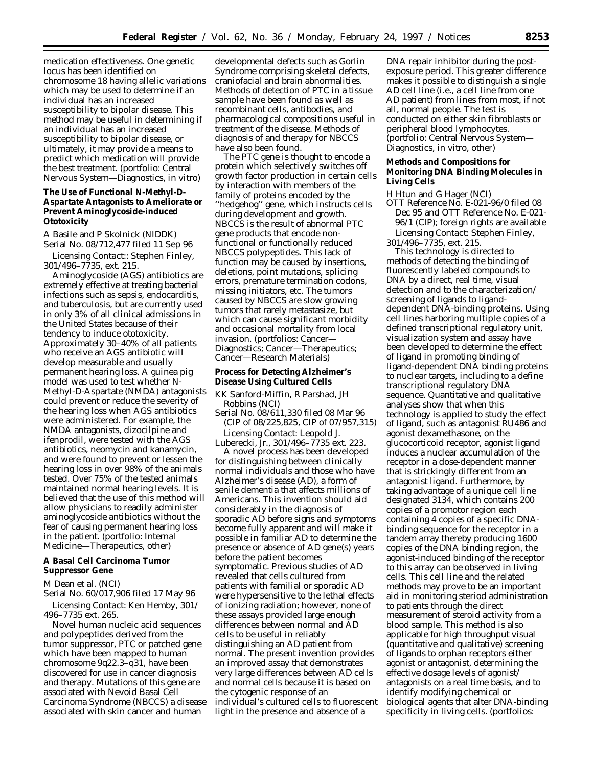medication effectiveness. One genetic locus has been identified on chromosome 18 having allelic variations which may be used to determine if an individual has an increased susceptibility to bipolar disease. This method may be useful in determining if an individual has an increased susceptibility to bipolar disease, or ultimately, it may provide a means to predict which medication will provide the best treatment. (portfolio: Central Nervous System—Diagnostics, in vitro)

**The Use of Functional N-Methyl-D-Aspartate Antagonists to Ameliorate or Prevent Aminoglycoside-induced Ototoxicity**

A Basile and P Skolnick (NIDDK) Serial No. 08/712,477 filed 11 Sep 96

*Licensing Contact::* Stephen Finley, 301/496–7735, ext. 215.

Aminoglycoside (AGS) antibiotics are extremely effective at treating bacterial infections such as sepsis, endocarditis, and tuberculosis, but are currently used in only 3% of all clinical admissions in the United States because of their tendency to induce ototoxicity. Approximately 30–40% of all patients who receive an AGS antibiotic will develop measurable and usually permanent hearing loss. A guinea pig model was used to test whether N-Methyl-D-Aspartate (NMDA) antagonists could prevent or reduce the severity of the hearing loss when AGS antibiotics were administered. For example, the NMDA antagonists, dizocilpine and ifenprodil, were tested with the AGS antibiotics, neomycin and kanamycin, and were found to prevent or lessen the hearing loss in over 98% of the animals tested. Over 75% of the tested animals maintained normal hearing levels. It is believed that the use of this method will allow physicians to readily administer aminoglycoside antibiotics without the fear of causing permanent hearing loss in the patient. (portfolio: Internal Medicine—Therapeutics, other)

**A Basal Cell Carcinoma Tumor Suppressor Gene**

M Dean et al. (NCI)

Serial No. 60/017,906 filed 17 May 96 *Licensing Contact:* Ken Hemby, 301/ 496–7735 ext. 265.

Novel human nucleic acid sequences and polypeptides derived from the tumor suppressor, PTC or patched gene which have been mapped to human chromosome 9q22.3–q31, have been discovered for use in cancer diagnosis and therapy. Mutations of this gene are associated with Nevoid Basal Cell Carcinoma Syndrome (NBCCS) a disease associated with skin cancer and human

developmental defects such as Gorlin Syndrome comprising skeletal defects, craniofacial and brain abnormalities. Methods of detection of PTC in a tissue sample have been found as well as recombinant cells, antibodies, and pharmacological compositions useful in treatment of the disease. Methods of diagnosis of and therapy for NBCCS have also been found.

The PTC gene is thought to encode a protein which selectively switches off growth factor production in certain cells by interaction with members of the family of proteins encoded by the ''hedgehog'' gene, which instructs cells during development and growth. NBCCS is the result of abnormal PTC gene products that encode nonfunctional or functionally reduced NBCCS polypeptides. This lack of function may be caused by insertions, deletions, point mutations, splicing errors, premature termination codons, missing initiators, etc. The tumors caused by NBCCS are slow growing tumors that rarely metastasize, but which can cause significant morbidity and occasional mortality from local invasion. (portfolios: Cancer— Diagnostics; Cancer—Therapeutics; Cancer—Research Materials)

**Process for Detecting Alzheimer's Disease Using Cultured Cells**

KK Sanford-Miffin, R Parshad, JH Robbins (NCI)

Serial No. 08/611,330 filed 08 Mar 96 (CIP of 08/225,825, CIP of 07/957,315) *Licensing Contact:* Leopold J.

Luberecki, Jr., 301/496–7735 ext. 223.

A novel process has been developed for distinguishing between clinically normal individuals and those who have Alzheimer's disease (AD), a form of senile dementia that affects millions of Americans. This invention should aid considerably in the diagnosis of sporadic AD before signs and symptoms become fully apparent and will make it possible in familiar AD to determine the presence or absence of AD gene(s) years before the patient becomes symptomatic. Previous studies of AD revealed that cells cultured from patients with familial or sporadic AD were hypersensitive to the lethal effects of ionizing radiation; however, none of these assays provided large enough differences between normal and AD cells to be useful in reliably distinguishing an AD patient from normal. The present invention provides an improved assay that demonstrates very large differences between AD cells and normal cells because it is based on the cytogenic response of an individual's cultured cells to fluorescent light in the presence and absence of a

DNA repair inhibitor during the postexposure period. This greater difference makes it possible to distinguish a single AD cell line (i.e., a cell line from one AD patient) from lines from most, if not all, normal people. The test is conducted on either skin fibroblasts or peripheral blood lymphocytes. (portfolio: Central Nervous System— Diagnostics, in vitro, other)

**Methods and Compositions for Monitoring DNA Binding Molecules in Living Cells**

H Htun and G Hager (NCI)

OTT Reference No. E-021-96/0 filed 08 Dec 95 and OTT Reference No. E-021- 96/1 (CIP); foreign rights are available *Licensing Contact:* Stephen Finley, 301/496–7735, ext. 215.

This technology is directed to methods of detecting the binding of fluorescently labeled compounds to DNA by a direct, real time, visual detection and to the characterization/ screening of ligands to liganddependent DNA-binding proteins. Using cell lines harboring multiple copies of a defined transcriptional regulatory unit, visualization system and assay have been developed to determine the effect of ligand in promoting binding of ligand-dependent DNA binding proteins to nuclear targets, including to a define transcriptional regulatory DNA sequence. Quantitative and qualitative analyses show that when this technology is applied to study the effect of ligand, such as antagonist RU486 and agonist dexamethasone, on the glucocorticoid receptor, agonist ligand induces a nuclear accumulation of the receptor in a dose-dependent manner that is strickingly different from an antagonist ligand. Furthermore, by taking advantage of a unique cell line designated 3134, which contains 200 copies of a promotor region each containing 4 copies of a specific DNAbinding sequence for the receptor in a tandem array thereby producing 1600 copies of the DNA binding region, the agonist-induced binding of the receptor to this array can be observed in living cells. This cell line and the related methods may prove to be an important aid in monitoring steriod administration to patients through the direct measurement of steroid activity from a blood sample. This method is also applicable for high throughput visual (quantitative and qualitative) screening of ligands to orphan receptors either agonist or antagonist, determining the effective dosage levels of agonist/ antagonists on a real time basis, and to identify modifying chemical or biological agents that alter DNA-binding specificity in living cells. (portfolios: